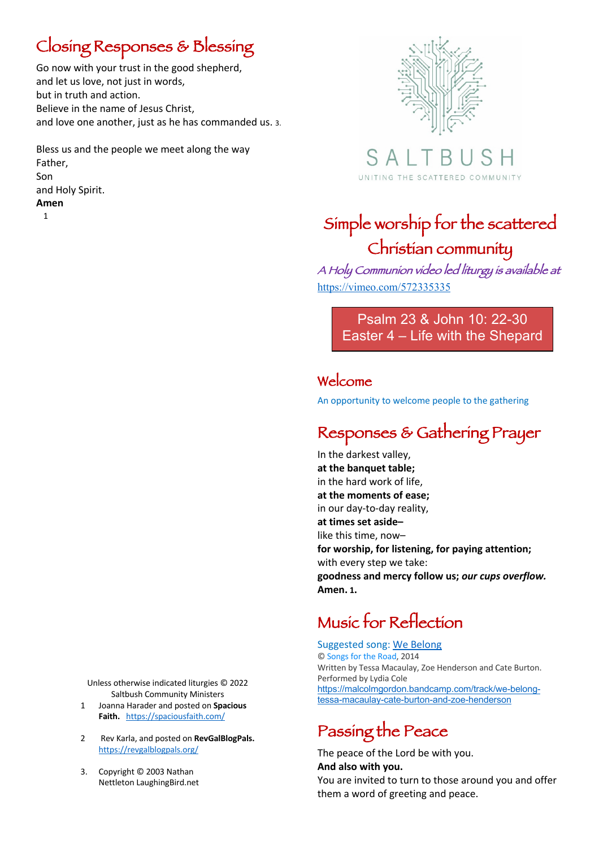### Closing Responses & Blessing

Go now with your trust in the good shepherd, and let us love, not just in words, but in truth and action. Believe in the name of Jesus Christ, and love one another, just as he has commanded us. 3.

Bless us and the people we meet along the way Father, Son and Holy Spirit. **Amen** 1



SAI UNITING THE SCATTERED COMMUNITY

## Simple worship for the scattered Christian community

A Holy Communion video led liturgy is available at https://vimeo.com/572335335

> Psalm 23 & John 10: 22-30 Easter 4 – Life with the Shepard

### Welcome

An opportunity to welcome people to the gathering

### Responses & Gathering Prayer

In the darkest valley, **at the banquet table;** in the hard work of life, **at the moments of ease;** in our day-to-day reality, **at times set aside–** like this time, now– **for worship, for listening, for paying attention;** with every step we take: **goodness and mercy follow us;** *our cups overflow.* **Amen. 1.** 

## Music for Reflection

Suggested song: We Belong © Songs for the Road, 2014 Written by Tessa Macaulay, Zoe Henderson and Cate Burton. Performed by Lydia Cole https://malcolmgordon.bandcamp.com/track/we-belongtessa-macaulay-cate-burton-and-zoe-henderson

### Passing the Peace

The peace of the Lord be with you. **And also with you.** You are invited to turn to those around you and offer them a word of greeting and peace.

Unless otherwise indicated liturgies © 2022 Saltbush Community Ministers

- 1 Joanna Harader and posted on **Spacious** Faith. https://spaciousfaith.com/
- 2 Rev Karla, and posted on **RevGalBlogPals.** https://revgalblogpals.org/
- 3. Copyright © 2003 Nathan Nettleton LaughingBird.net